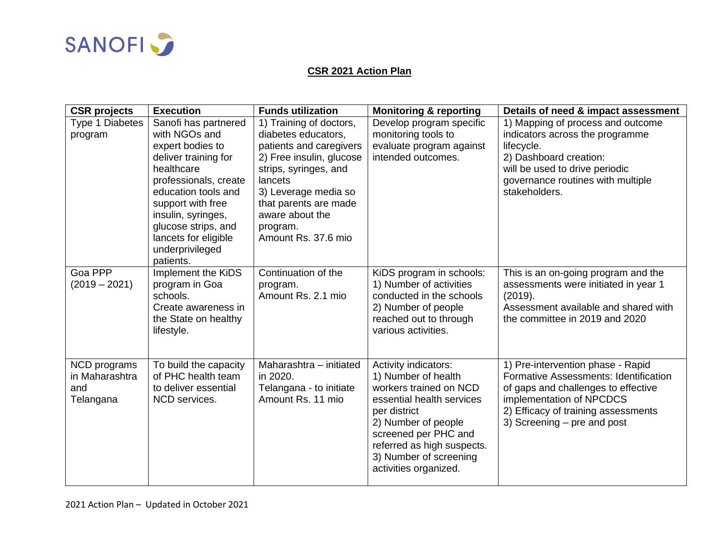

## **CSR 2021 Action Plan**

| <b>CSR</b> projects                                | <b>Execution</b>                                                                                                                                                                                                                                                          | <b>Funds utilization</b>                                                                                                                                                                                                                         | <b>Monitoring &amp; reporting</b>                                                                                                                                                                                                                  | Details of need & impact assessment                                                                                                                                                                                 |
|----------------------------------------------------|---------------------------------------------------------------------------------------------------------------------------------------------------------------------------------------------------------------------------------------------------------------------------|--------------------------------------------------------------------------------------------------------------------------------------------------------------------------------------------------------------------------------------------------|----------------------------------------------------------------------------------------------------------------------------------------------------------------------------------------------------------------------------------------------------|---------------------------------------------------------------------------------------------------------------------------------------------------------------------------------------------------------------------|
| Type 1 Diabetes<br>program                         | Sanofi has partnered<br>with NGOs and<br>expert bodies to<br>deliver training for<br>healthcare<br>professionals, create<br>education tools and<br>support with free<br>insulin, syringes,<br>glucose strips, and<br>lancets for eligible<br>underprivileged<br>patients. | 1) Training of doctors,<br>diabetes educators,<br>patients and caregivers<br>2) Free insulin, glucose<br>strips, syringes, and<br>lancets<br>3) Leverage media so<br>that parents are made<br>aware about the<br>program.<br>Amount Rs. 37.6 mio | Develop program specific<br>monitoring tools to<br>evaluate program against<br>intended outcomes.                                                                                                                                                  | 1) Mapping of process and outcome<br>indicators across the programme<br>lifecycle.<br>2) Dashboard creation:<br>will be used to drive periodic<br>governance routines with multiple<br>stakeholders.                |
| Goa PPP<br>$(2019 - 2021)$                         | Implement the KiDS<br>program in Goa<br>schools.<br>Create awareness in<br>the State on healthy<br>lifestyle.                                                                                                                                                             | Continuation of the<br>program.<br>Amount Rs. 2.1 mio                                                                                                                                                                                            | KiDS program in schools:<br>1) Number of activities<br>conducted in the schools<br>2) Number of people<br>reached out to through<br>various activities.                                                                                            | This is an on-going program and the<br>assessments were initiated in year 1<br>(2019).<br>Assessment available and shared with<br>the committee in 2019 and 2020                                                    |
| NCD programs<br>in Maharashtra<br>and<br>Telangana | To build the capacity<br>of PHC health team<br>to deliver essential<br>NCD services.                                                                                                                                                                                      | Maharashtra - initiated<br>in 2020.<br>Telangana - to initiate<br>Amount Rs. 11 mio                                                                                                                                                              | Activity indicators:<br>1) Number of health<br>workers trained on NCD<br>essential health services<br>per district<br>2) Number of people<br>screened per PHC and<br>referred as high suspects.<br>3) Number of screening<br>activities organized. | 1) Pre-intervention phase - Rapid<br>Formative Assessments: Identification<br>of gaps and challenges to effective<br>implementation of NPCDCS<br>2) Efficacy of training assessments<br>3) Screening – pre and post |

2021 Action Plan – Updated in October 2021